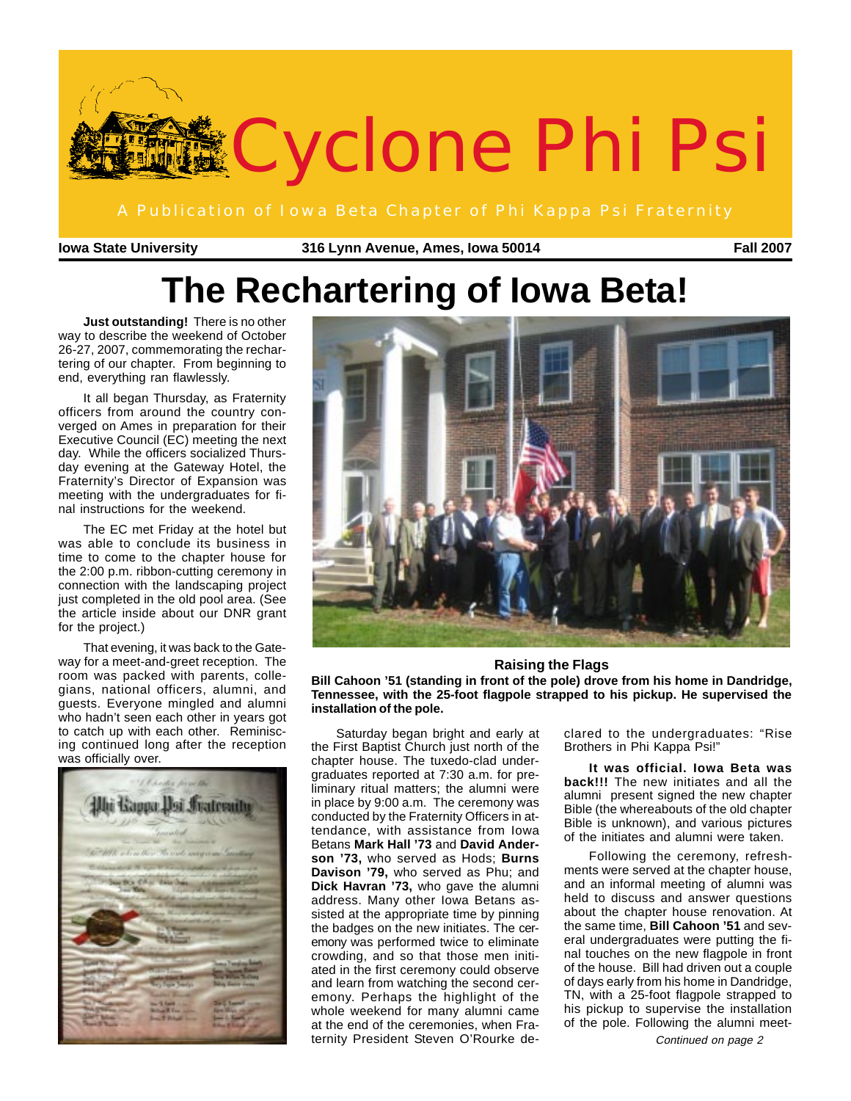

**Iowa State University 316 Lynn Avenue, Ames, Iowa 50014 Fall 2007**

# **The Rechartering of Iowa Beta!**

**Just outstanding!** There is no other way to describe the weekend of October 26-27, 2007, commemorating the rechartering of our chapter. From beginning to end, everything ran flawlessly.

It all began Thursday, as Fraternity officers from around the country converged on Ames in preparation for their Executive Council (EC) meeting the next day. While the officers socialized Thursday evening at the Gateway Hotel, the Fraternity's Director of Expansion was meeting with the undergraduates for final instructions for the weekend.

The EC met Friday at the hotel but was able to conclude its business in time to come to the chapter house for the 2:00 p.m. ribbon-cutting ceremony in connection with the landscaping project just completed in the old pool area. (See the article inside about our DNR grant for the project.)

That evening, it was back to the Gateway for a meet-and-greet reception. The room was packed with parents, collegians, national officers, alumni, and guests. Everyone mingled and alumni who hadn't seen each other in years got to catch up with each other. Reminiscing continued long after the reception was officially over.





#### **Raising the Flags**

**Bill Cahoon '51 (standing in front of the pole) drove from his home in Dandridge, Tennessee, with the 25-foot flagpole strapped to his pickup. He supervised the installation of the pole.**

Saturday began bright and early at the First Baptist Church just north of the chapter house. The tuxedo-clad undergraduates reported at 7:30 a.m. for preliminary ritual matters; the alumni were in place by 9:00 a.m. The ceremony was conducted by the Fraternity Officers in attendance, with assistance from Iowa Betans **Mark Hall '73** and **David Anderson '73,** who served as Hods; **Burns Davison '79,** who served as Phu; and **Dick Havran '73,** who gave the alumni address. Many other Iowa Betans assisted at the appropriate time by pinning the badges on the new initiates. The ceremony was performed twice to eliminate crowding, and so that those men initiated in the first ceremony could observe and learn from watching the second ceremony. Perhaps the highlight of the whole weekend for many alumni came at the end of the ceremonies, when Fraternity President Steven O'Rourke de-

clared to the undergraduates: "Rise Brothers in Phi Kappa Psi!"

**It was official. Iowa Beta was back!!!** The new initiates and all the alumni present signed the new chapter Bible (the whereabouts of the old chapter Bible is unknown), and various pictures of the initiates and alumni were taken.

Following the ceremony, refreshments were served at the chapter house, and an informal meeting of alumni was held to discuss and answer questions about the chapter house renovation. At the same time, **Bill Cahoon '51** and several undergraduates were putting the final touches on the new flagpole in front of the house. Bill had driven out a couple of days early from his home in Dandridge, TN, with a 25-foot flagpole strapped to his pickup to supervise the installation of the pole. Following the alumni meet-

Continued on page 2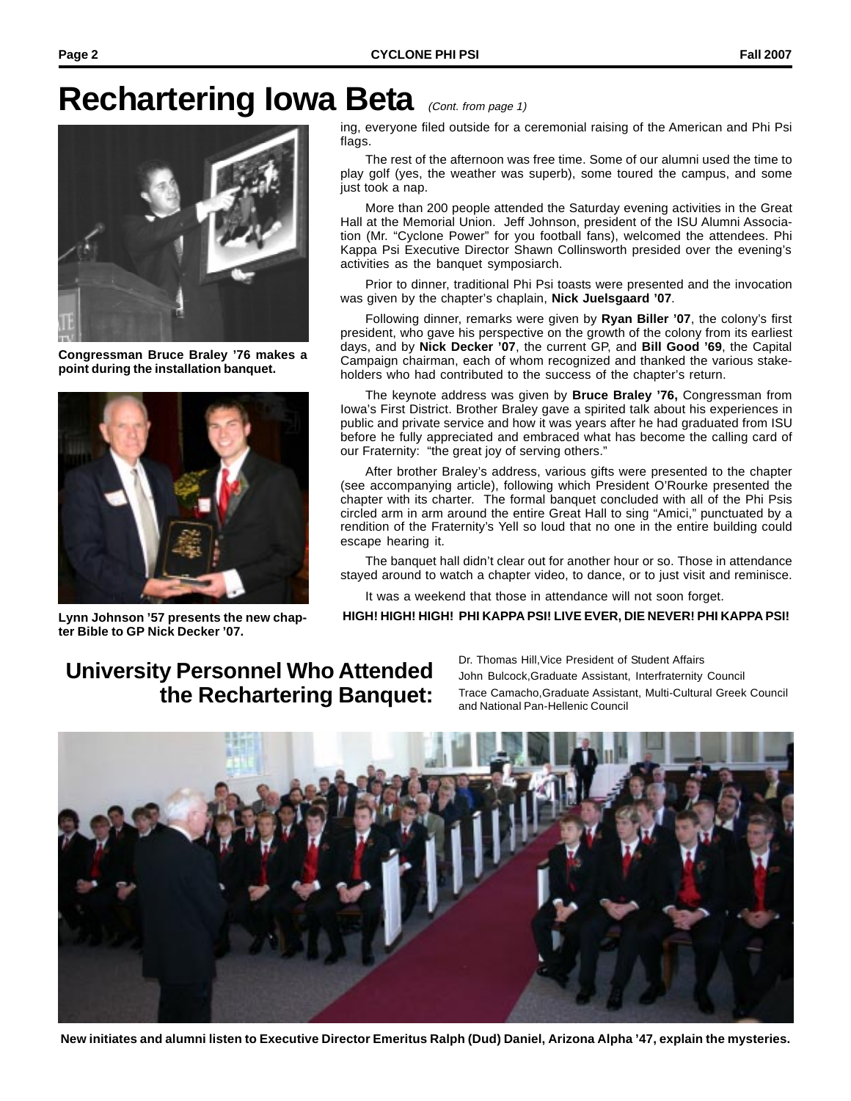## **Rechartering Iowa Beta** (Cont. from page 1)



**Congressman Bruce Braley '76 makes a point during the installation banquet.**



**ter Bible to GP Nick Decker '07.**

ing, everyone filed outside for a ceremonial raising of the American and Phi Psi

flags. The rest of the afternoon was free time. Some of our alumni used the time to play golf (yes, the weather was superb), some toured the campus, and some just took a nap.

More than 200 people attended the Saturday evening activities in the Great Hall at the Memorial Union. Jeff Johnson, president of the ISU Alumni Association (Mr. "Cyclone Power" for you football fans), welcomed the attendees. Phi Kappa Psi Executive Director Shawn Collinsworth presided over the evening's activities as the banquet symposiarch.

Prior to dinner, traditional Phi Psi toasts were presented and the invocation was given by the chapter's chaplain, **Nick Juelsgaard '07**.

Following dinner, remarks were given by **Ryan Biller '07**, the colony's first president, who gave his perspective on the growth of the colony from its earliest days, and by **Nick Decker '07**, the current GP, and **Bill Good '69**, the Capital Campaign chairman, each of whom recognized and thanked the various stakeholders who had contributed to the success of the chapter's return.

The keynote address was given by **Bruce Braley '76,** Congressman from Iowa's First District. Brother Braley gave a spirited talk about his experiences in public and private service and how it was years after he had graduated from ISU before he fully appreciated and embraced what has become the calling card of our Fraternity: "the great joy of serving others."

After brother Braley's address, various gifts were presented to the chapter (see accompanying article), following which President O'Rourke presented the chapter with its charter. The formal banquet concluded with all of the Phi Psis circled arm in arm around the entire Great Hall to sing "Amici," punctuated by a rendition of the Fraternity's Yell so loud that no one in the entire building could escape hearing it.

The banquet hall didn't clear out for another hour or so. Those in attendance stayed around to watch a chapter video, to dance, or to just visit and reminisce.

It was a weekend that those in attendance will not soon forget.

**Lynn Johnson '57 presents the new chap- HIGH! HIGH! HIGH! PHI KAPPA PSI! LIVE EVER, DIE NEVER! PHI KAPPA PSI!**

### **University Personnel Who Attended the Rechartering Banquet:**

Dr. Thomas Hill,Vice President of Student Affairs John Bulcock,Graduate Assistant, Interfraternity Council Trace Camacho,Graduate Assistant, Multi-Cultural Greek Council and National Pan-Hellenic Council



**New initiates and alumni listen to Executive Director Emeritus Ralph (Dud) Daniel, Arizona Alpha '47, explain the mysteries.**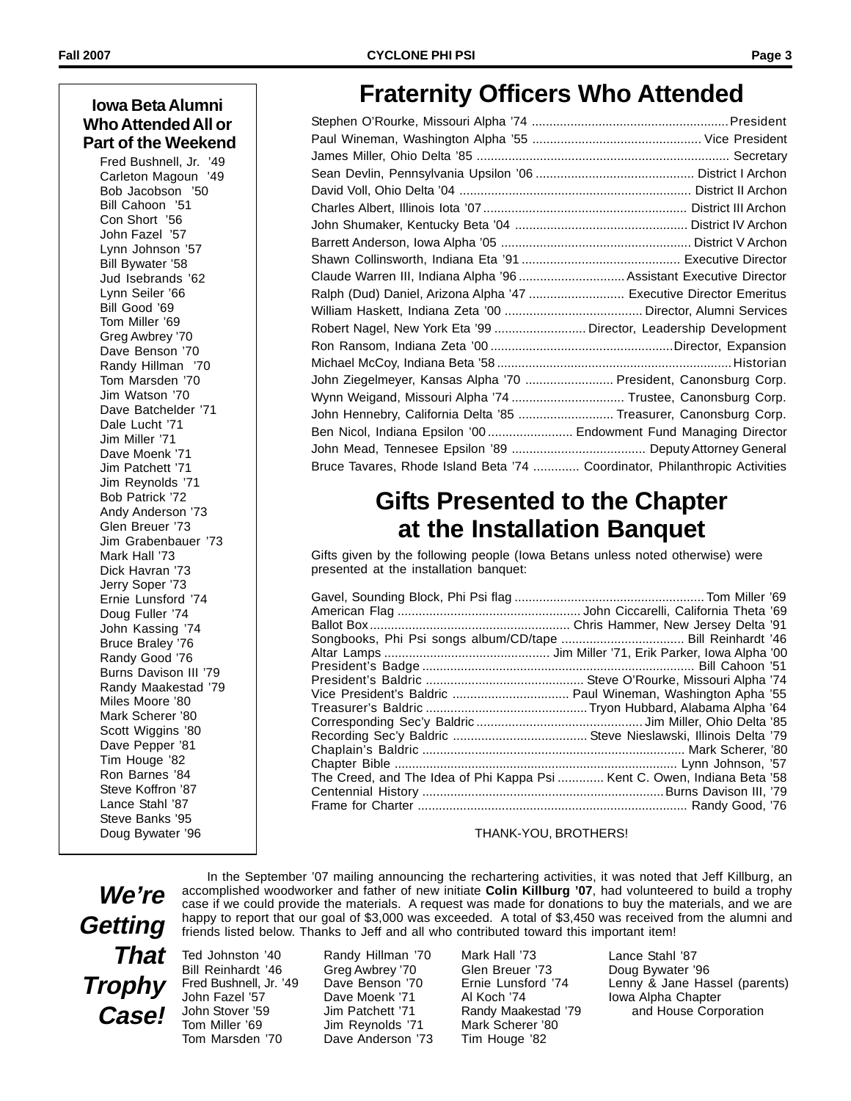#### **Iowa Beta Alumni Who Attended All or Part of the Weekend**

Fred Bushnell, Jr. '49 Carleton Magoun '49 Bob Jacobson '50 Bill Cahoon '51 Con Short '56 John Fazel '57 Lynn Johnson '57 Bill Bywater '58 Jud Isebrands '62 Lynn Seiler '66 Bill Good '69 Tom Miller '69 Greg Awbrey '70 Dave Benson '70 Randy Hillman '70 Tom Marsden '70 Jim Watson '70 Dave Batchelder '71 Dale Lucht '71 Jim Miller '71 Dave Moenk '71 Jim Patchett '71 Jim Reynolds '71 Bob Patrick '72 Andy Anderson '73 Glen Breuer '73 Jim Grabenbauer '73 Mark Hall '73 Dick Havran '73 Jerry Soper '73 Ernie Lunsford '74 Doug Fuller '74 John Kassing '74 Bruce Braley '76 Randy Good '76 Burns Davison III '79 Randy Maakestad '79 Miles Moore '80 Mark Scherer '80 Scott Wiggins '80 Dave Pepper '81 Tim Houge '82 Ron Barnes '84 Steve Koffron '87 Lance Stahl '87 Steve Banks '95 Doug Bywater '96

### **Fraternity Officers Who Attended**

| Claude Warren III, Indiana Alpha '96  Assistant Executive Director          |  |
|-----------------------------------------------------------------------------|--|
| Ralph (Dud) Daniel, Arizona Alpha '47  Executive Director Emeritus          |  |
|                                                                             |  |
| Robert Nagel, New York Eta '99  Director, Leadership Development            |  |
|                                                                             |  |
|                                                                             |  |
| John Ziegelmeyer, Kansas Alpha '70  President, Canonsburg Corp.             |  |
| Wynn Weigand, Missouri Alpha '74  Trustee, Canonsburg Corp.                 |  |
| John Hennebry, California Delta '85  Treasurer, Canonsburg Corp.            |  |
| Ben Nicol, Indiana Epsilon '00  Endowment Fund Managing Director            |  |
|                                                                             |  |
| Bruce Tavares, Rhode Island Beta '74  Coordinator, Philanthropic Activities |  |

### **Gifts Presented to the Chapter at the Installation Banquet**

Gifts given by the following people (Iowa Betans unless noted otherwise) were presented at the installation banquet:

| Songbooks, Phi Psi songs album/CD/tape  Bill Reinhardt '46               |  |
|--------------------------------------------------------------------------|--|
|                                                                          |  |
|                                                                          |  |
|                                                                          |  |
| Vice President's Baldric  Paul Wineman, Washington Apha '55              |  |
|                                                                          |  |
|                                                                          |  |
|                                                                          |  |
|                                                                          |  |
|                                                                          |  |
| The Creed, and The Idea of Phi Kappa Psi  Kent C. Owen, Indiana Beta '58 |  |
|                                                                          |  |
|                                                                          |  |
|                                                                          |  |

THANK-YOU, BROTHERS!

**We're Getting That Trophy Case!**

Ted Johnston '40 Bill Reinhardt '46 Fred Bushnell, Jr. '49 John Fazel '57 John Stover '59 Tom Miller '69 Tom Marsden '70

Randy Hillman '70 Greg Awbrey '70 Dave Benson '70 Dave Moenk '71 Jim Patchett '71 Jim Reynolds '71 Dave Anderson '73

friends listed below. Thanks to Jeff and all who contributed toward this important item!

Mark Hall '73 Glen Breuer '73 Ernie Lunsford '74 Al Koch '74 Randy Maakestad '79 Mark Scherer '80 Tim Houge '82

In the September '07 mailing announcing the rechartering activities, it was noted that Jeff Killburg, an accomplished woodworker and father of new initiate **Colin Killburg '07**, had volunteered to build a trophy case if we could provide the materials. A request was made for donations to buy the materials, and we are happy to report that our goal of \$3,000 was exceeded. A total of \$3,450 was received from the alumni and

> Lance Stahl '87 Doug Bywater '96 Lenny & Jane Hassel (parents) Iowa Alpha Chapter and House Corporation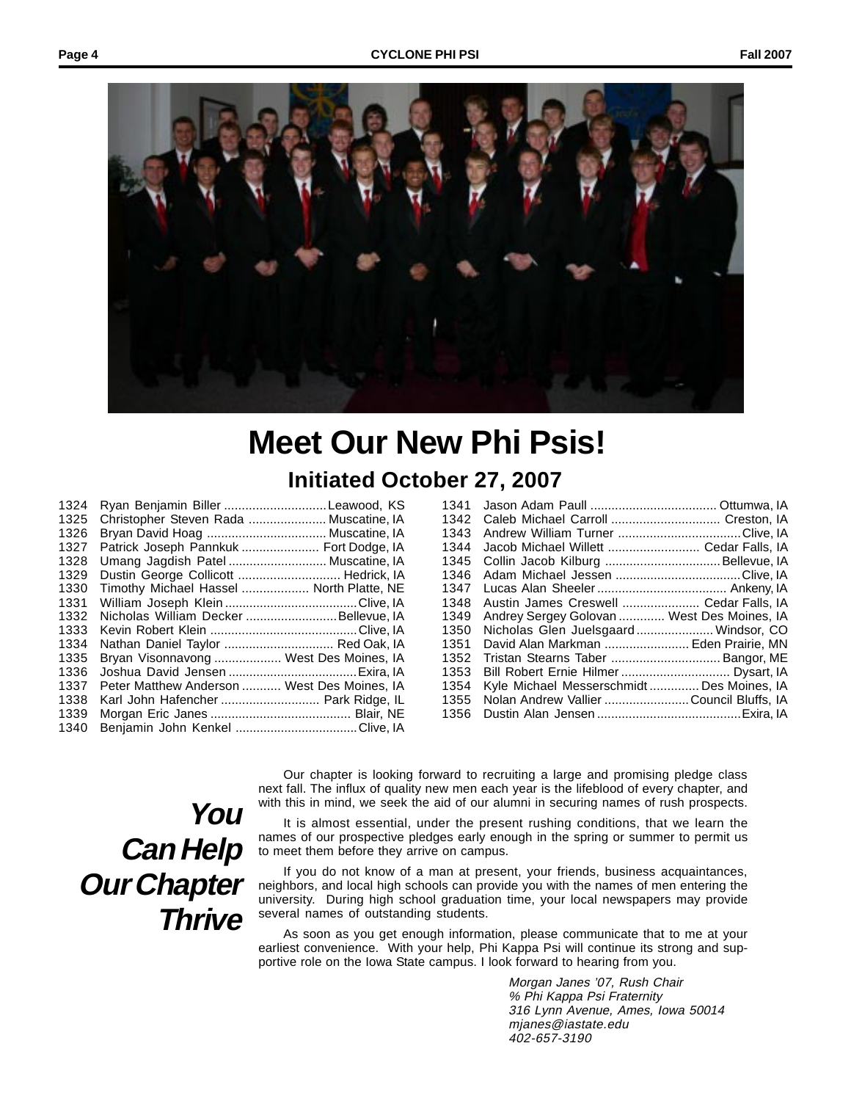

# **Meet Our New Phi Psis!**

**Initiated October 27, 2007**

| 1324 | Ryan Benjamin Biller Leawood, KS            |  |
|------|---------------------------------------------|--|
| 1325 | Christopher Steven Rada  Muscatine, IA      |  |
| 1326 | Bryan David Hoag  Muscatine, IA             |  |
| 1327 | Patrick Joseph Pannkuk  Fort Dodge, IA      |  |
| 1328 | Umang Jagdish Patel  Muscatine, IA          |  |
| 1329 | Dustin George Collicott  Hedrick, IA        |  |
| 1330 | Timothy Michael Hassel  North Platte, NE    |  |
| 1331 |                                             |  |
| 1332 | Nicholas William Decker Bellevue, IA        |  |
| 1333 |                                             |  |
| 1334 | Nathan Daniel Taylor  Red Oak, IA           |  |
| 1335 | Bryan Visonnavong  West Des Moines, IA      |  |
| 1336 |                                             |  |
| 1337 | Peter Matthew Anderson  West Des Moines, IA |  |
| 1338 | Karl John Hafencher  Park Ridge, IL         |  |
| 1339 |                                             |  |
| 1340 |                                             |  |
|      |                                             |  |

| 1341 |                                            |  |
|------|--------------------------------------------|--|
| 1342 | Caleb Michael Carroll  Creston, IA         |  |
| 1343 |                                            |  |
| 1344 | Jacob Michael Willett  Cedar Falls, IA     |  |
| 1345 | Collin Jacob Kilburg  Bellevue, IA         |  |
| 1346 |                                            |  |
| 1347 |                                            |  |
| 1348 | Austin James Creswell  Cedar Falls, IA     |  |
| 1349 | Andrey Sergey Golovan  West Des Moines, IA |  |
| 1350 | Nicholas Glen Juelsgaard Windsor, CO       |  |
| 1351 | David Alan Markman  Eden Prairie, MN       |  |
| 1352 | Tristan Stearns Taber  Bangor, ME          |  |
| 1353 |                                            |  |
| 1354 | Kyle Michael Messerschmidt  Des Moines, IA |  |
| 1355 | Nolan Andrew Vallier Council Bluffs, IA    |  |
| 1356 |                                            |  |
|      |                                            |  |

## **You Can Help Our Chapter Thrive**

Our chapter is looking forward to recruiting a large and promising pledge class next fall. The influx of quality new men each year is the lifeblood of every chapter, and with this in mind, we seek the aid of our alumni in securing names of rush prospects.

It is almost essential, under the present rushing conditions, that we learn the names of our prospective pledges early enough in the spring or summer to permit us to meet them before they arrive on campus.

If you do not know of a man at present, your friends, business acquaintances, neighbors, and local high schools can provide you with the names of men entering the university. During high school graduation time, your local newspapers may provide several names of outstanding students.

As soon as you get enough information, please communicate that to me at your earliest convenience. With your help, Phi Kappa Psi will continue its strong and supportive role on the Iowa State campus. I look forward to hearing from you.

> Morgan Janes '07, Rush Chair % Phi Kappa Psi Fraternity 316 Lynn Avenue, Ames, Iowa 50014 mjanes@iastate.edu 402-657-3190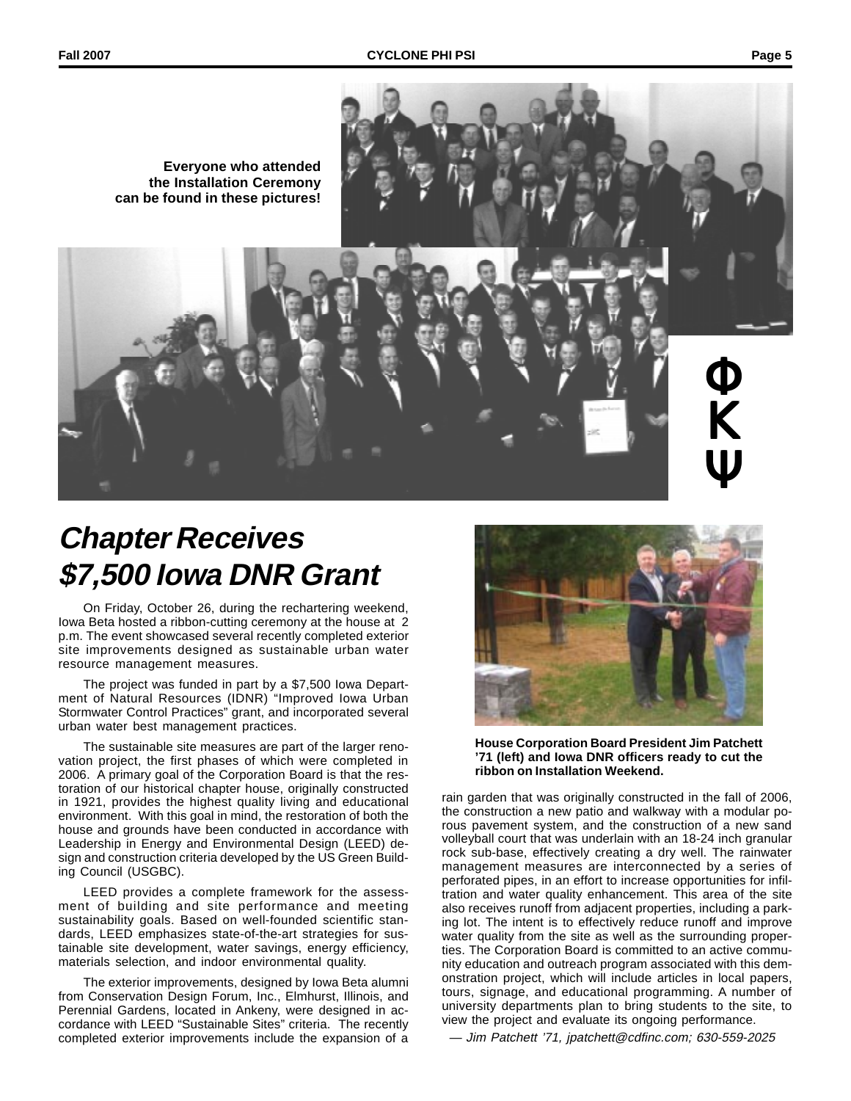$\overline{\Phi}$ 

Κ

Ψ

**Everyone who attended the Installation Ceremony can be found in these pictures!**

## **Chapter Receives \$7,500 Iowa DNR Grant**

On Friday, October 26, during the rechartering weekend, Iowa Beta hosted a ribbon-cutting ceremony at the house at 2 p.m. The event showcased several recently completed exterior site improvements designed as sustainable urban water resource management measures.

The project was funded in part by a \$7,500 Iowa Department of Natural Resources (IDNR) "Improved Iowa Urban Stormwater Control Practices" grant, and incorporated several urban water best management practices.

The sustainable site measures are part of the larger renovation project, the first phases of which were completed in 2006. A primary goal of the Corporation Board is that the restoration of our historical chapter house, originally constructed in 1921, provides the highest quality living and educational environment. With this goal in mind, the restoration of both the house and grounds have been conducted in accordance with Leadership in Energy and Environmental Design (LEED) design and construction criteria developed by the US Green Building Council (USGBC).

LEED provides a complete framework for the assessment of building and site performance and meeting sustainability goals. Based on well-founded scientific standards, LEED emphasizes state-of-the-art strategies for sustainable site development, water savings, energy efficiency, materials selection, and indoor environmental quality.

The exterior improvements, designed by Iowa Beta alumni from Conservation Design Forum, Inc., Elmhurst, Illinois, and Perennial Gardens, located in Ankeny, were designed in accordance with LEED "Sustainable Sites" criteria. The recently completed exterior improvements include the expansion of a



**House Corporation Board President Jim Patchett '71 (left) and Iowa DNR officers ready to cut the ribbon on Installation Weekend.**

rain garden that was originally constructed in the fall of 2006, the construction a new patio and walkway with a modular porous pavement system, and the construction of a new sand volleyball court that was underlain with an 18-24 inch granular rock sub-base, effectively creating a dry well. The rainwater management measures are interconnected by a series of perforated pipes, in an effort to increase opportunities for infiltration and water quality enhancement. This area of the site also receives runoff from adjacent properties, including a parking lot. The intent is to effectively reduce runoff and improve water quality from the site as well as the surrounding properties. The Corporation Board is committed to an active community education and outreach program associated with this demonstration project, which will include articles in local papers, tours, signage, and educational programming. A number of university departments plan to bring students to the site, to view the project and evaluate its ongoing performance.

— Jim Patchett '71, jpatchett@cdfinc.com; 630-559-2025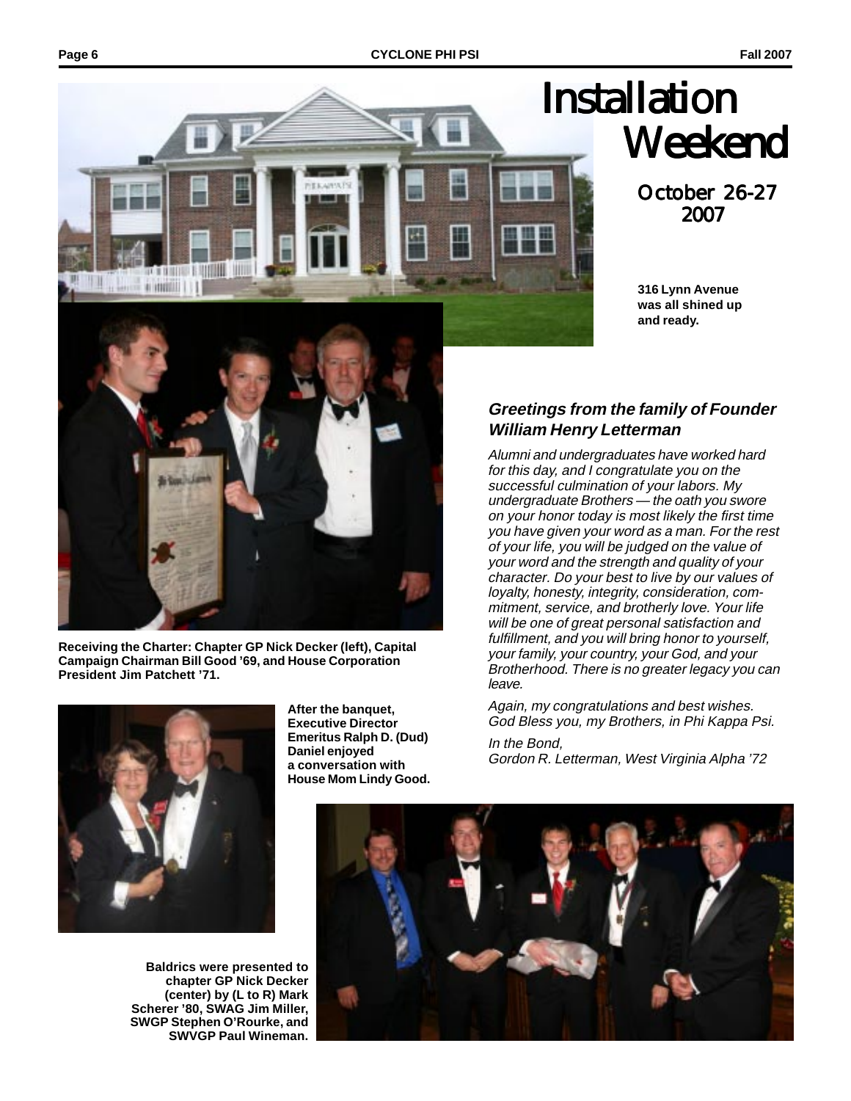

October 26-27 2007

**316 Lynn Avenue was all shined up and ready.**



**Receiving the Charter: Chapter GP Nick Decker (left), Capital Campaign Chairman Bill Good '69, and House Corporation President Jim Patchett '71.**



**Baldrics were presented to chapter GP Nick Decker (center) by (L to R) Mark Scherer '80, SWAG Jim Miller, SWGP Stephen O'Rourke, and SWVGP Paul Wineman.**

**After the banquet, Executive Director Emeritus Ralph D. (Dud) Daniel enjoyed a conversation with House Mom Lindy Good.**

#### **Greetings from the family of Founder William Henry Letterman**

Alumni and undergraduates have worked hard for this day, and I congratulate you on the successful culmination of your labors. My undergraduate Brothers — the oath you swore on your honor today is most likely the first time you have given your word as a man. For the rest of your life, you will be judged on the value of your word and the strength and quality of your character. Do your best to live by our values of loyalty, honesty, integrity, consideration, commitment, service, and brotherly love. Your life will be one of great personal satisfaction and fulfillment, and you will bring honor to yourself, your family, your country, your God, and your Brotherhood. There is no greater legacy you can leave.

Again, my congratulations and best wishes. God Bless you, my Brothers, in Phi Kappa Psi.

In the Bond, Gordon R. Letterman, West Virginia Alpha '72

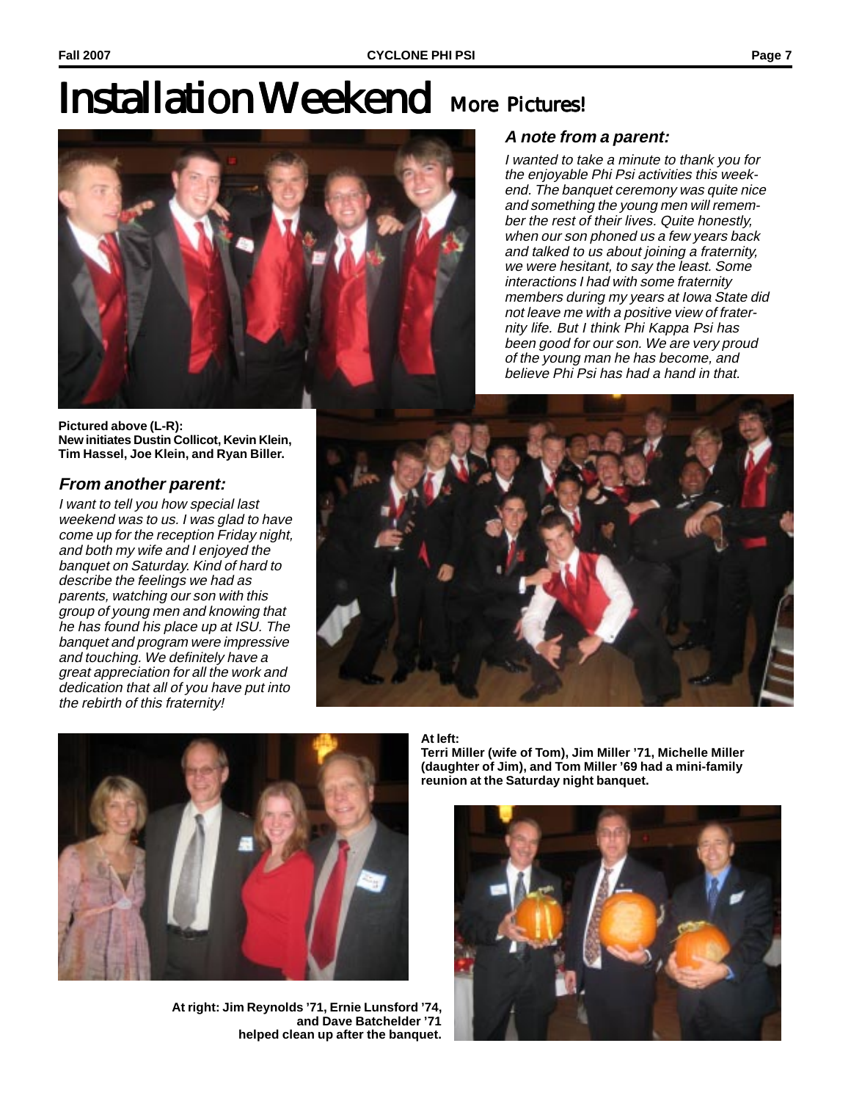# **Installation Weekend More Pictures!**



#### **A note from a parent:**

I wanted to take a minute to thank you for the enjoyable Phi Psi activities this weekend. The banquet ceremony was quite nice and something the young men will remember the rest of their lives. Quite honestly, when our son phoned us a few years back and talked to us about joining a fraternity, we were hesitant, to say the least. Some interactions I had with some fraternity members during my years at Iowa State did not leave me with a positive view of fraternity life. But I think Phi Kappa Psi has been good for our son. We are very proud of the young man he has become, and believe Phi Psi has had a hand in that.

**Pictured above (L-R): New initiates Dustin Collicot, Kevin Klein, Tim Hassel, Joe Klein, and Ryan Biller.**

#### **From another parent:**

I want to tell you how special last weekend was to us. I was glad to have come up for the reception Friday night, and both my wife and I enjoyed the banquet on Saturday. Kind of hard to describe the feelings we had as parents, watching our son with this group of young men and knowing that he has found his place up at ISU. The banquet and program were impressive and touching. We definitely have a great appreciation for all the work and dedication that all of you have put into the rebirth of this fraternity!





**At right: Jim Reynolds '71, Ernie Lunsford '74, and Dave Batchelder '71 helped clean up after the banquet.**

**At left:**

**Terri Miller (wife of Tom), Jim Miller '71, Michelle Miller (daughter of Jim), and Tom Miller '69 had a mini-family reunion at the Saturday night banquet.**

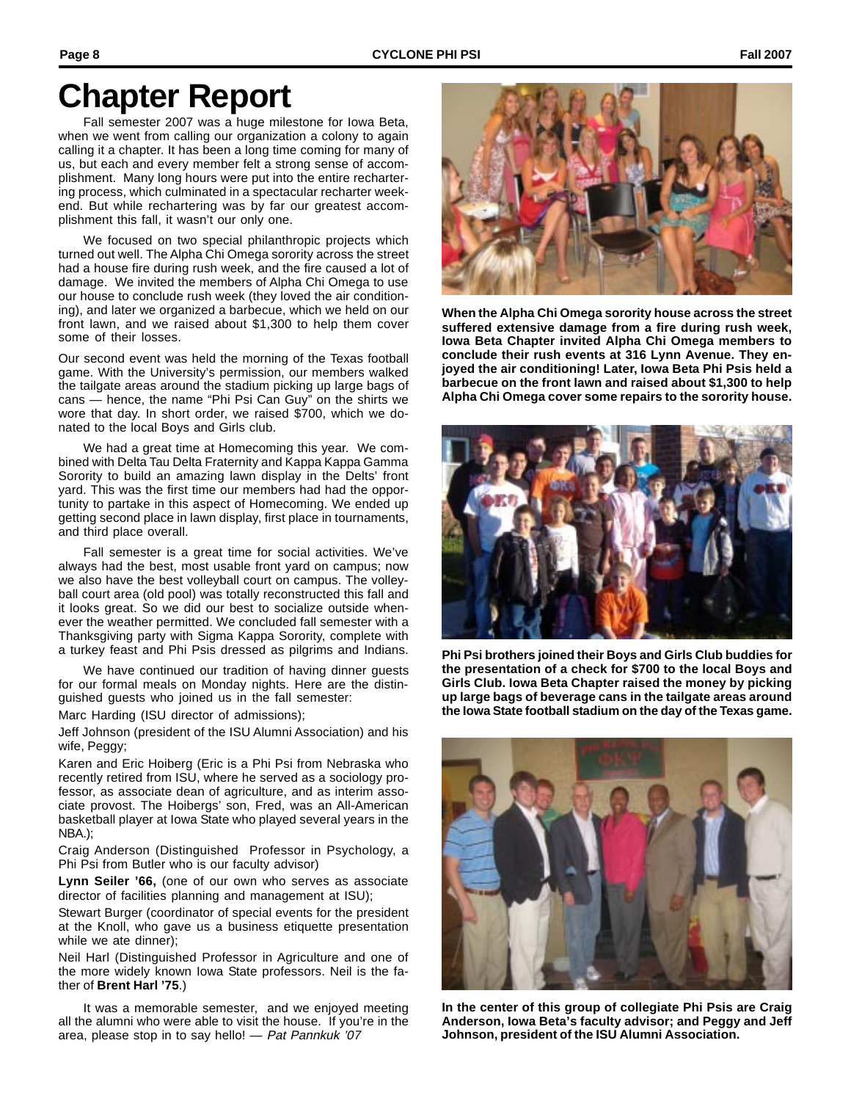## **Chapter Report**

Fall semester 2007 was a huge milestone for Iowa Beta, when we went from calling our organization a colony to again calling it a chapter. It has been a long time coming for many of us, but each and every member felt a strong sense of accomplishment. Many long hours were put into the entire rechartering process, which culminated in a spectacular recharter weekend. But while rechartering was by far our greatest accomplishment this fall, it wasn't our only one.

We focused on two special philanthropic projects which turned out well. The Alpha Chi Omega sorority across the street had a house fire during rush week, and the fire caused a lot of damage. We invited the members of Alpha Chi Omega to use our house to conclude rush week (they loved the air conditioning), and later we organized a barbecue, which we held on our front lawn, and we raised about \$1,300 to help them cover some of their losses.

Our second event was held the morning of the Texas football game. With the University's permission, our members walked the tailgate areas around the stadium picking up large bags of cans — hence, the name "Phi Psi Can Guy" on the shirts we wore that day. In short order, we raised \$700, which we donated to the local Boys and Girls club.

We had a great time at Homecoming this year. We combined with Delta Tau Delta Fraternity and Kappa Kappa Gamma Sorority to build an amazing lawn display in the Delts' front yard. This was the first time our members had had the opportunity to partake in this aspect of Homecoming. We ended up getting second place in lawn display, first place in tournaments, and third place overall.

Fall semester is a great time for social activities. We've always had the best, most usable front yard on campus; now we also have the best volleyball court on campus. The volleyball court area (old pool) was totally reconstructed this fall and it looks great. So we did our best to socialize outside whenever the weather permitted. We concluded fall semester with a Thanksgiving party with Sigma Kappa Sorority, complete with a turkey feast and Phi Psis dressed as pilgrims and Indians.

We have continued our tradition of having dinner guests for our formal meals on Monday nights. Here are the distinguished guests who joined us in the fall semester:

Marc Harding (ISU director of admissions);

Jeff Johnson (president of the ISU Alumni Association) and his wife, Peggy;

Karen and Eric Hoiberg (Eric is a Phi Psi from Nebraska who recently retired from ISU, where he served as a sociology professor, as associate dean of agriculture, and as interim associate provost. The Hoibergs' son, Fred, was an All-American basketball player at Iowa State who played several years in the NBA.);

Craig Anderson (Distinguished Professor in Psychology, a Phi Psi from Butler who is our faculty advisor)

**Lynn Seiler '66,** (one of our own who serves as associate director of facilities planning and management at ISU);

Stewart Burger (coordinator of special events for the president at the Knoll, who gave us a business etiquette presentation while we ate dinner);

Neil Harl (Distinguished Professor in Agriculture and one of the more widely known Iowa State professors. Neil is the father of **Brent Harl '75**.)

It was a memorable semester, and we enjoyed meeting all the alumni who were able to visit the house. If you're in the area, please stop in to say hello! - Pat Pannkuk '07



**When the Alpha Chi Omega sorority house across the street suffered extensive damage from a fire during rush week, Iowa Beta Chapter invited Alpha Chi Omega members to conclude their rush events at 316 Lynn Avenue. They enjoyed the air conditioning! Later, Iowa Beta Phi Psis held a barbecue on the front lawn and raised about \$1,300 to help Alpha Chi Omega cover some repairs to the sorority house.**



**Phi Psi brothers joined their Boys and Girls Club buddies for the presentation of a check for \$700 to the local Boys and Girls Club. Iowa Beta Chapter raised the money by picking up large bags of beverage cans in the tailgate areas around the Iowa State football stadium on the day of the Texas game.**



**In the center of this group of collegiate Phi Psis are Craig Anderson, Iowa Beta's faculty advisor; and Peggy and Jeff Johnson, president of the ISU Alumni Association.**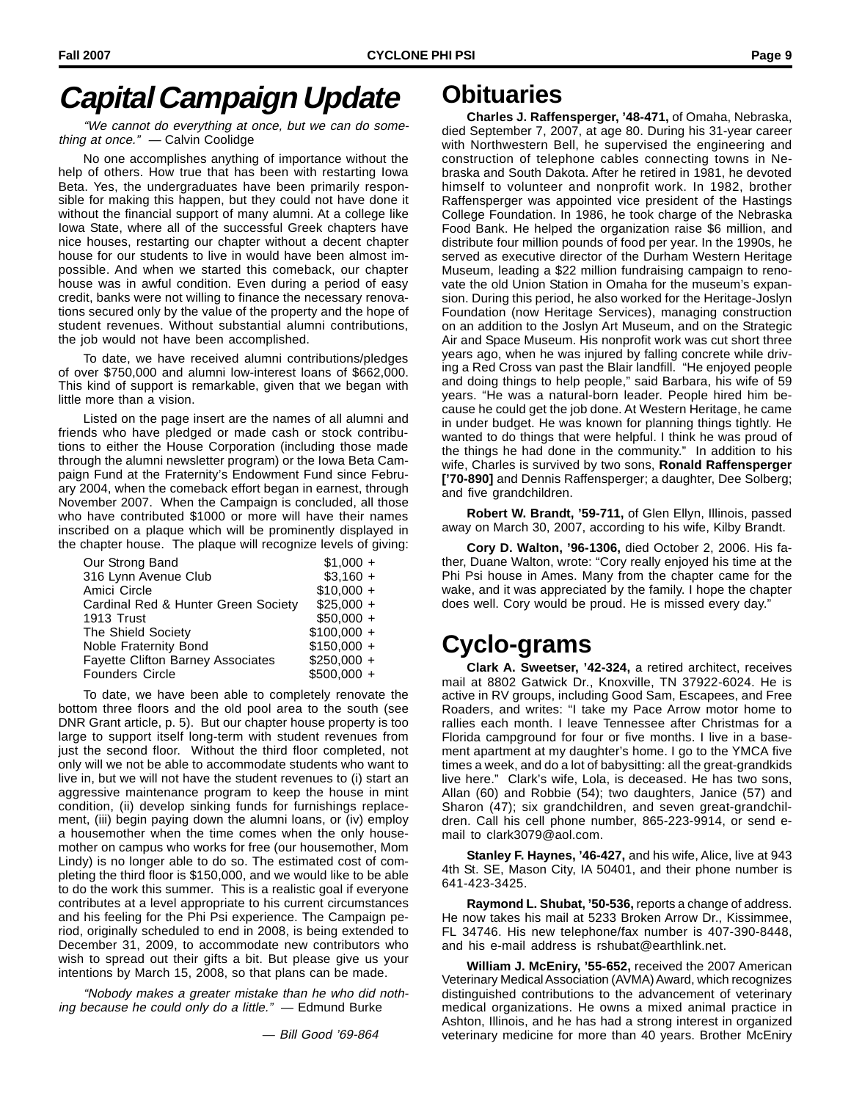## **Capital Campaign Update**

"We cannot do everything at once, but we can do something at once." — Calvin Coolidge

No one accomplishes anything of importance without the help of others. How true that has been with restarting Iowa Beta. Yes, the undergraduates have been primarily responsible for making this happen, but they could not have done it without the financial support of many alumni. At a college like Iowa State, where all of the successful Greek chapters have nice houses, restarting our chapter without a decent chapter house for our students to live in would have been almost impossible. And when we started this comeback, our chapter house was in awful condition. Even during a period of easy credit, banks were not willing to finance the necessary renovations secured only by the value of the property and the hope of student revenues. Without substantial alumni contributions, the job would not have been accomplished.

To date, we have received alumni contributions/pledges of over \$750,000 and alumni low-interest loans of \$662,000. This kind of support is remarkable, given that we began with little more than a vision.

Listed on the page insert are the names of all alumni and friends who have pledged or made cash or stock contributions to either the House Corporation (including those made through the alumni newsletter program) or the Iowa Beta Campaign Fund at the Fraternity's Endowment Fund since February 2004, when the comeback effort began in earnest, through November 2007. When the Campaign is concluded, all those who have contributed \$1000 or more will have their names inscribed on a plaque which will be prominently displayed in the chapter house. The plaque will recognize levels of giving:

| Our Strong Band                          | $$1,000 +$   |
|------------------------------------------|--------------|
| 316 Lynn Avenue Club                     | $$3,160 +$   |
| Amici Circle                             | $$10,000 +$  |
| Cardinal Red & Hunter Green Society      | $$25,000 +$  |
| 1913 Trust                               | $$50,000 +$  |
| The Shield Society                       | $$100,000 +$ |
| Noble Fraternity Bond                    | $$150,000 +$ |
| <b>Fayette Clifton Barney Associates</b> | $$250,000 +$ |
| <b>Founders Circle</b>                   | $$500,000 +$ |

To date, we have been able to completely renovate the bottom three floors and the old pool area to the south (see DNR Grant article, p. 5). But our chapter house property is too large to support itself long-term with student revenues from just the second floor. Without the third floor completed, not only will we not be able to accommodate students who want to live in, but we will not have the student revenues to (i) start an aggressive maintenance program to keep the house in mint condition, (ii) develop sinking funds for furnishings replacement, (iii) begin paying down the alumni loans, or (iv) employ a housemother when the time comes when the only housemother on campus who works for free (our housemother, Mom Lindy) is no longer able to do so. The estimated cost of completing the third floor is \$150,000, and we would like to be able to do the work this summer. This is a realistic goal if everyone contributes at a level appropriate to his current circumstances and his feeling for the Phi Psi experience. The Campaign period, originally scheduled to end in 2008, is being extended to December 31, 2009, to accommodate new contributors who wish to spread out their gifts a bit. But please give us your intentions by March 15, 2008, so that plans can be made.

"Nobody makes a greater mistake than he who did nothing because he could only do a little." — Edmund Burke

### **Obituaries**

**Charles J. Raffensperger, '48-471,** of Omaha, Nebraska, died September 7, 2007, at age 80. During his 31-year career with Northwestern Bell, he supervised the engineering and construction of telephone cables connecting towns in Nebraska and South Dakota. After he retired in 1981, he devoted himself to volunteer and nonprofit work. In 1982, brother Raffensperger was appointed vice president of the Hastings College Foundation. In 1986, he took charge of the Nebraska Food Bank. He helped the organization raise \$6 million, and distribute four million pounds of food per year. In the 1990s, he served as executive director of the Durham Western Heritage Museum, leading a \$22 million fundraising campaign to renovate the old Union Station in Omaha for the museum's expansion. During this period, he also worked for the Heritage-Joslyn Foundation (now Heritage Services), managing construction on an addition to the Joslyn Art Museum, and on the Strategic Air and Space Museum. His nonprofit work was cut short three years ago, when he was injured by falling concrete while driving a Red Cross van past the Blair landfill. "He enjoyed people and doing things to help people," said Barbara, his wife of 59 years. "He was a natural-born leader. People hired him because he could get the job done. At Western Heritage, he came in under budget. He was known for planning things tightly. He wanted to do things that were helpful. I think he was proud of the things he had done in the community." In addition to his wife, Charles is survived by two sons, **Ronald Raffensperger ['70-890]** and Dennis Raffensperger; a daughter, Dee Solberg; and five grandchildren.

**Robert W. Brandt, '59-711,** of Glen Ellyn, Illinois, passed away on March 30, 2007, according to his wife, Kilby Brandt.

**Cory D. Walton, '96-1306,** died October 2, 2006. His father, Duane Walton, wrote: "Cory really enjoyed his time at the Phi Psi house in Ames. Many from the chapter came for the wake, and it was appreciated by the family. I hope the chapter does well. Cory would be proud. He is missed every day."

### **Cyclo-grams**

**Clark A. Sweetser, '42-324,** a retired architect, receives mail at 8802 Gatwick Dr., Knoxville, TN 37922-6024. He is active in RV groups, including Good Sam, Escapees, and Free Roaders, and writes: "I take my Pace Arrow motor home to rallies each month. I leave Tennessee after Christmas for a Florida campground for four or five months. I live in a basement apartment at my daughter's home. I go to the YMCA five times a week, and do a lot of babysitting: all the great-grandkids live here." Clark's wife, Lola, is deceased. He has two sons, Allan (60) and Robbie (54); two daughters, Janice (57) and Sharon (47); six grandchildren, and seven great-grandchildren. Call his cell phone number, 865-223-9914, or send email to clark3079@aol.com.

**Stanley F. Haynes, '46-427,** and his wife, Alice, live at 943 4th St. SE, Mason City, IA 50401, and their phone number is 641-423-3425.

**Raymond L. Shubat, '50-536,** reports a change of address. He now takes his mail at 5233 Broken Arrow Dr., Kissimmee, FL 34746. His new telephone/fax number is 407-390-8448, and his e-mail address is rshubat@earthlink.net.

**William J. McEniry, '55-652,** received the 2007 American Veterinary Medical Association (AVMA) Award, which recognizes distinguished contributions to the advancement of veterinary medical organizations. He owns a mixed animal practice in Ashton, Illinois, and he has had a strong interest in organized veterinary medicine for more than 40 years. Brother McEniry